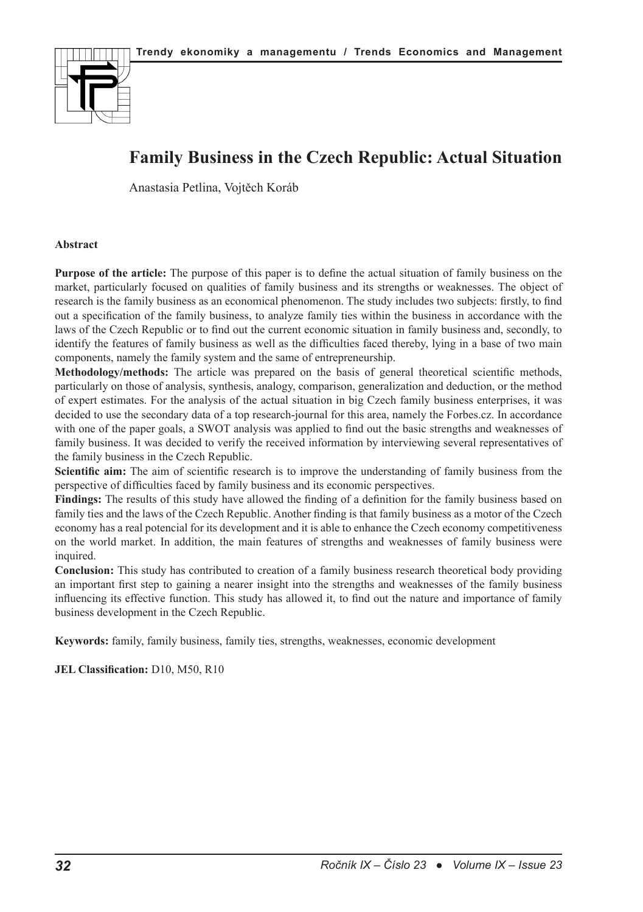

# **Family Business in the Czech Republic: Actual Situation**

Anastasia Petlina, Vojtěch Koráb

### **Abstract**

**Purpose of the article:** The purpose of this paper is to define the actual situation of family business on the market, particularly focused on qualities of family business and its strengths or weaknesses. The object of research is the family business as an economical phenomenon. The study includes two subjects: firstly, to find out a specification of the family business, to analyze family ties within the business in accordance with the laws of the Czech Republic or to find out the current economic situation in family business and, secondly, to identify the features of family business as well as the difficulties faced thereby, lying in a base of two main components, namely the family system and the same of entrepreneurship.

**Methodology/methods:** The article was prepared on the basis of general theoretical scientific methods, particularly on those of analysis, synthesis, analogy, comparison, generalization and deduction, or the method of expert estimates. For the analysis of the actual situation in big Czech family business enterprises, it was decided to use the secondary data of a top research-journal for this area, namely the Forbes.cz. In accordance with one of the paper goals, a SWOT analysis was applied to find out the basic strengths and weaknesses of family business. It was decided to verify the received information by interviewing several representatives of the family business in the Czech Republic.

**Scientific aim:** The aim of scientific research is to improve the understanding of family business from the perspective of difficulties faced by family business and its economic perspectives.

**Findings:** The results of this study have allowed the finding of a definition for the family business based on family ties and the laws of the Czech Republic. Another finding is that family business as a motor of the Czech economy has a real potencial for its development and it is able to enhance the Czech economy competitiveness on the world market. In addition, the main features of strengths and weaknesses of family business were inquired.

**Conclusion:** This study has contributed to creation of a family business research theoretical body providing an important first step to gaining a nearer insight into the strengths and weaknesses of the family business influencing its effective function. This study has allowed it, to find out the nature and importance of family business development in the Czech Republic.

**Keywords:** family, family business, family ties, strengths, weaknesses, economic development

**JEL Classification:** D10, M50, R10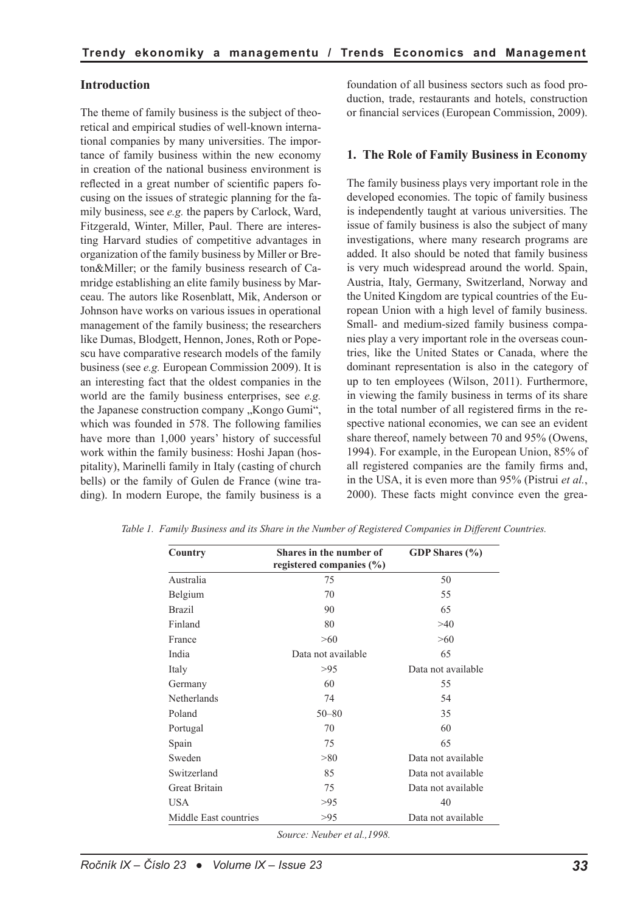### **Introduction**

The theme of family business is the subject of theoretical and empirical studies of well-known international companies by many universities. The importance of family business within the new economy in creation of the national business environment is reflected in a great number of scientific papers focusing on the issues of strategic planning for the family business, see *e.g.* the papers by Carlock, Ward, Fitzgerald, Winter, Miller, Paul. There are interesting Harvard studies of competitive advantages in organization of the family business by Miller or Breton&Miller; or the family business research of Camridge establishing an elite family business by Marceau. The autors like Rosenblatt, Mik, Anderson or Johnson have works on various issues in operational management of the family business; the researchers like Dumas, Blodgett, Hennon, Jones, Roth or Popescu have comparative research models of the family business (see *e.g.* European Commission 2009). It is an interesting fact that the oldest companies in the world are the family business enterprises, see *e.g.* the Japanese construction company "Kongo Gumi", which was founded in 578. The following families have more than 1,000 years' history of successful work within the family business: Hoshi Japan (hospitality), Marinelli family in Italy (casting of church bells) or the family of Gulen de France (wine trading). In modern Europe, the family business is a foundation of all business sectors such as food production, trade, restaurants and hotels, construction or financial services (European Commission, 2009).

#### **1. The Role of Family Business in Economy**

The family business plays very important role in the developed economies. The topic of family business is independently taught at various universities. The issue of family business is also the subject of many investigations, where many research programs are added. It also should be noted that family business is very much widespread around the world. Spain, Austria, Italy, Germany, Switzerland, Norway and the United Kingdom are typical countries of the European Union with a high level of family business. Small- and medium-sized family business companies play a very important role in the overseas countries, like the United States or Canada, where the dominant representation is also in the category of up to ten employees (Wilson, 2011). Furthermore, in viewing the family business in terms of its share in the total number of all registered firms in the respective national economies, we can see an evident share thereof, namely between 70 and 95% (Owens, 1994). For example, in the European Union, 85% of all registered companies are the family firms and, in the USA, it is even more than 95% (Pistrui *et al.*, 2000). These facts might convince even the grea-

| Country               | Shares in the number of  | GDP Shares (%)     |  |
|-----------------------|--------------------------|--------------------|--|
|                       | registered companies (%) |                    |  |
| Australia             | 75                       | 50                 |  |
| Belgium               | 70                       | 55                 |  |
| <b>Brazil</b>         | 90                       | 65                 |  |
| Finland               | 80                       | >40                |  |
| France                | >60                      | >60                |  |
| India                 | Data not available       | 65                 |  |
| Italy                 | >95                      | Data not available |  |
| Germany               | 60                       | 55                 |  |
| Netherlands           | 74                       | 54                 |  |
| Poland                | $50 - 80$                | 35                 |  |
| Portugal              | 70                       | 60                 |  |
| Spain                 | 75                       | 65                 |  |
| Sweden                | > 80                     | Data not available |  |
| Switzerland           | 85                       | Data not available |  |
| <b>Great Britain</b>  | 75                       | Data not available |  |
| <b>USA</b>            | >95                      | 40                 |  |
| Middle East countries | >95                      | Data not available |  |

*Table 1. Family Business and its Share in the Number of Registered Companies in Different Countries.*

*Source: Neuber et al.,1998.*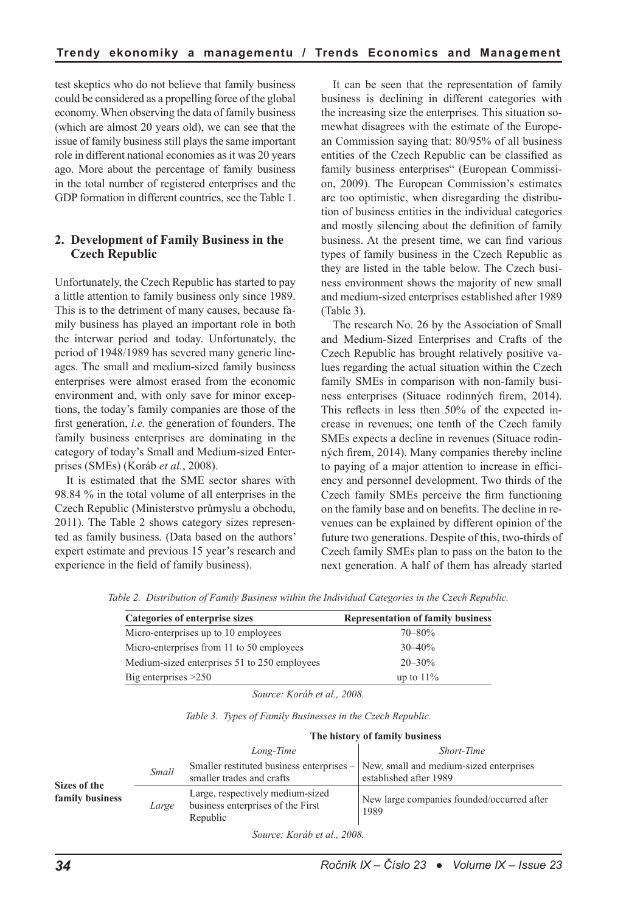test skeptics who do not believe that family business could be considered as a propelling force of the global economy. When observing the data of family business (which are almost 20 years old), we can see that the issue of family business still plays the same important role in different national economies as it was 20 years ago. More about the percentage of family business in the total number of registered enterprises and the GDP formation in different countries, see the Table 1.

## **2. Development of Family Business in the Czech Republic**

Unfortunately, the Czech Republic has started to pay a little attention to family business only since 1989. This is to the detriment of many causes, because family business has played an important role in both the interwar period and today. Unfortunately, the period of 1948/1989 has severed many generic lineages. The small and medium-sized family business enterprises were almost erased from the economic environment and, with only save for minor exceptions, the today's family companies are those of the first generation, *i.e.* the generation of founders. The family business enterprises are dominating in the category of today's Small and Medium-sized Enterprises (SMEs) (Koráb *et al.*, 2008).

It is estimated that the SME sector shares with 98.84 % in the total volume of all enterprises in the Czech Republic (Ministerstvo průmyslu a obchodu, 2011). The Table 2 shows category sizes represented as family business. (Data based on the authors' expert estimate and previous 15 year's research and experience in the field of family business).

It can be seen that the representation of family business is declining in different categories with the increasing size the enterprises. This situation somewhat disagrees with the estimate of the European Commission saying that: 80/95% of all business entities of the Czech Republic can be classified as family business enterprises" (European Commission, 2009). The European Commission's estimates are too optimistic, when disregarding the distribution of business entities in the individual categories and mostly silencing about the definition of family business. At the present time, we can find various types of family business in the Czech Republic as they are listed in the table below. The Czech business environment shows the majority of new small and medium-sized enterprises established after 1989 (Table 3).

The research No. 26 by the Association of Small and Medium-Sized Enterprises and Crafts of the Czech Republic has brought relatively positive values regarding the actual situation within the Czech family SMEs in comparison with non-family business enterprises (Situace rodinných firem, 2014). This reflects in less then 50% of the expected increase in revenues; one tenth of the Czech family SMEs expects a decline in revenues (Situace rodinných firem, 2014). Many companies thereby incline to paying of a major attention to increase in efficiency and personnel development. Two thirds of the Czech family SMEs perceive the firm functioning on the family base and on benefits. The decline in revenues can be explained by different opinion of the future two generations. Despite of this, two-thirds of Czech family SMEs plan to pass on the baton to the next generation. A half of them has already started

*Table 2. Distribution of Family Business within the Individual Categories in the Czech Republic.*

| Categories of enterprise sizes               | <b>Representation of family business</b> |
|----------------------------------------------|------------------------------------------|
| Micro-enterprises up to 10 employees         | $70 - 80\%$                              |
| Micro-enterprises from 11 to 50 employees    | $30 - 40%$                               |
| Medium-sized enterprises 51 to 250 employees | $20 - 30\%$                              |
| Big enterprises $>250$                       | up to $11\%$                             |

*Source: Koráb et al., 2008.*

|                                 |       | The history of family business                                                    |                                                                   |  |  |  |
|---------------------------------|-------|-----------------------------------------------------------------------------------|-------------------------------------------------------------------|--|--|--|
|                                 |       | Long-Time                                                                         | <b>Short-Time</b>                                                 |  |  |  |
| Sizes of the<br>family business | Small | Smaller restituted business enterprises $-$<br>smaller trades and crafts          | New, small and medium-sized enterprises<br>established after 1989 |  |  |  |
|                                 | Large | Large, respectively medium-sized<br>business enterprises of the First<br>Republic | New large companies founded/occurred after<br>1989                |  |  |  |

*Table 3. Types of Family Businesses in the Czech Republic.*

*Source: Koráb et al., 2008.*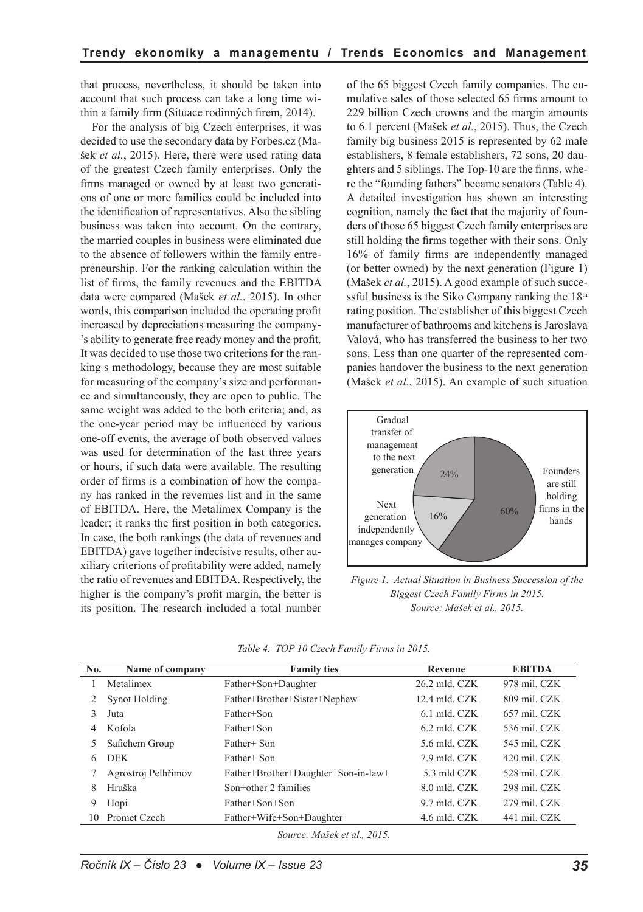that process, nevertheless, it should be taken into account that such process can take a long time within a family firm (Situace rodinných firem, 2014).

For the analysis of big Czech enterprises, it was decided to use the secondary data by Forbes.cz (Mašek *et al.*, 2015). Here, there were used rating data of the greatest Czech family enterprises. Only the firms managed or owned by at least two generations of one or more families could be included into the identification of representatives. Also the sibling business was taken into account. On the contrary, the married couples in business were eliminated due to the absence of followers within the family entrepreneurship. For the ranking calculation within the list of firms, the family revenues and the EBITDA data were compared (Mašek *et al.*, 2015). In other words, this comparison included the operating profit increased by depreciations measuring the company- 's ability to generate free ready money and the profit. It was decided to use those two criterions for the ranking s methodology, because they are most suitable for measuring of the company's size and performance and simultaneously, they are open to public. The same weight was added to the both criteria; and, as the one-year period may be influenced by various one-off events, the average of both observed values was used for determination of the last three years or hours, if such data were available. The resulting order of firms is a combination of how the company has ranked in the revenues list and in the same of EBITDA. Here, the Metalimex Company is the leader; it ranks the first position in both categories. In case, the both rankings (the data of revenues and EBITDA) gave together indecisive results, other auxiliary criterions of profitability were added, namely the ratio of revenues and EBITDA. Respectively, the higher is the company's profit margin, the better is its position. The research included a total number of the 65 biggest Czech family companies. The cumulative sales of those selected 65 firms amount to 229 billion Czech crowns and the margin amounts to 6.1 percent (Mašek *et al.*, 2015). Thus, the Czech family big business 2015 is represented by 62 male establishers, 8 female establishers, 72 sons, 20 daughters and 5 siblings. The Top-10 are the firms, where the "founding fathers" became senators (Table 4). A detailed investigation has shown an interesting cognition, namely the fact that the majority of founders of those 65 biggest Czech family enterprises are still holding the firms together with their sons. Only 16% of family firms are independently managed (or better owned) by the next generation (Figure 1) (Mašek *et al.*, 2015). A good example of such successful business is the Siko Company ranking the  $18<sup>th</sup>$ rating position. The establisher of this biggest Czech manufacturer of bathrooms and kitchens is Jaroslava Valová, who has transferred the business to her two sons. Less than one quarter of the represented companies handover the business to the next generation (Mašek *et al.*, 2015). An example of such situation



*Figure 1. Actual Situation in Business Succession of the Biggest Czech Family Firms in 2015. Source: Mašek et al., 2015.*

| No.                         | Name of company     | <b>Family ties</b>                  | Revenue           | <b>EBITDA</b>  |  |
|-----------------------------|---------------------|-------------------------------------|-------------------|----------------|--|
|                             | Metalimex           | Father+Son+Daughter                 | $26.2$ mld. $CZK$ | 978 mil. CZK   |  |
|                             | Synot Holding       | Father+Brother+Sister+Nephew        | $12.4$ mld. $CZK$ | 809 mil. CZK   |  |
|                             | Juta                | Father+Son                          | $6.1$ mld. CZK    | $657$ mil. CZK |  |
| 4                           | Kofola              | Father+Son                          | $6.2$ mld. CZK    | 536 mil. CZK   |  |
|                             | Safichem Group      | Father+ Son                         | 5.6 mld. CZK      | 545 mil. CZK   |  |
| 6                           | <b>DEK</b>          | Father+ Son                         | 7.9 mld. CZK      | 420 mil. CZK   |  |
|                             | Agrostroj Pelhřimov | Father+Brother+Daughter+Son-in-law+ | 5.3 mld CZK       | 528 mil. CZK   |  |
| 8                           | Hruška              | Son+other 2 families                | 8.0 mld. CZK      | 298 mil. CZK   |  |
| 9                           | Hopi                | Father+Son+Son                      | 9.7 mld. CZK      | 279 mil. CZK   |  |
|                             | 10 Promet Czech     | Father+Wife+Son+Daughter            | 4.6 mld. CZK      | 441 mil. CZK   |  |
| Source: Mašek et al., 2015. |                     |                                     |                   |                |  |

*Table 4. TOP 10 Czech Family Firms in 2015.*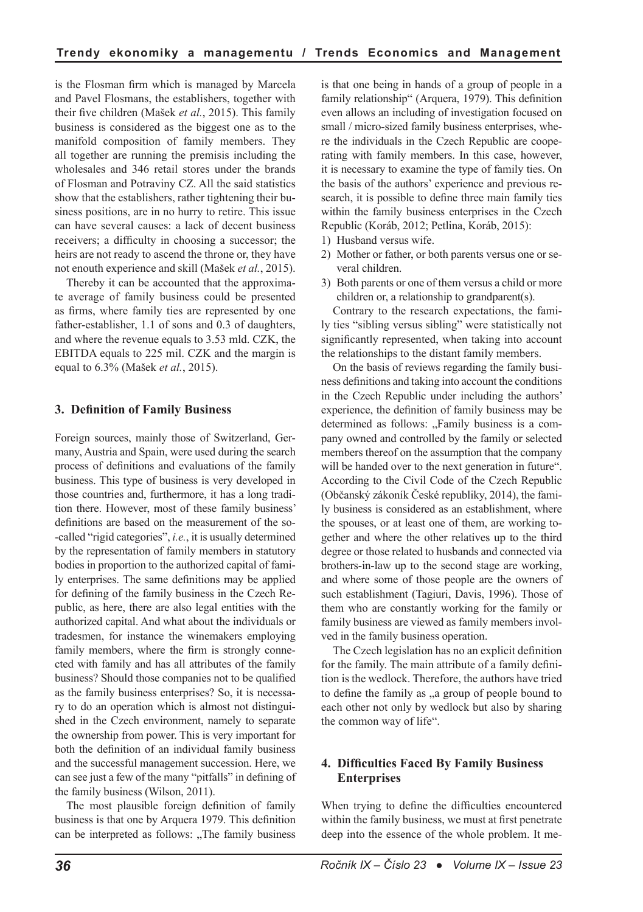is the Flosman firm which is managed by Marcela and Pavel Flosmans, the establishers, together with their five children (Mašek *et al.*, 2015). This family business is considered as the biggest one as to the manifold composition of family members. They all together are running the premisis including the wholesales and 346 retail stores under the brands of Flosman and Potraviny CZ. All the said statistics show that the establishers, rather tightening their business positions, are in no hurry to retire. This issue can have several causes: a lack of decent business receivers; a difficulty in choosing a successor; the heirs are not ready to ascend the throne or, they have not enouth experience and skill (Mašek *et al.*, 2015).

Thereby it can be accounted that the approximate average of family business could be presented as firms, where family ties are represented by one father-establisher, 1.1 of sons and 0.3 of daughters, and where the revenue equals to 3.53 mld. CZK, the EBITDA equals to 225 mil. CZK and the margin is equal to 6.3% (Mašek *et al.*, 2015).

## **3. Definition of Family Business**

Foreign sources, mainly those of Switzerland, Germany, Austria and Spain, were used during the search process of definitions and evaluations of the family business. This type of business is very developed in those countries and, furthermore, it has a long tradition there. However, most of these family business' definitions are based on the measurement of the so- -called "rigid categories", *i.e.*, it is usually determined by the representation of family members in statutory bodies in proportion to the authorized capital of family enterprises. The same definitions may be applied for defining of the family business in the Czech Republic, as here, there are also legal entities with the authorized capital. And what about the individuals or tradesmen, for instance the winemakers employing family members, where the firm is strongly connected with family and has all attributes of the family business? Should those companies not to be qualified as the family business enterprises? So, it is necessary to do an operation which is almost not distinguished in the Czech environment, namely to separate the ownership from power. This is very important for both the definition of an individual family business and the successful management succession. Here, we can see just a few of the many "pitfalls" in defining of the family business (Wilson, 2011).

The most plausible foreign definition of family business is that one by Arquera 1979. This definition can be interpreted as follows: "The family business is that one being in hands of a group of people in a family relationship" (Arquera, 1979). This definition even allows an including of investigation focused on small / micro-sized family business enterprises, where the individuals in the Czech Republic are cooperating with family members. In this case, however, it is necessary to examine the type of family ties. On the basis of the authors' experience and previous research, it is possible to define three main family ties within the family business enterprises in the Czech Republic (Koráb, 2012; Petlina, Koráb, 2015):

- 1) Husband versus wife.
- 2) Mother or father, or both parents versus one or several children.
- 3) Both parents or one of them versus a child or more children or, a relationship to grandparent(s).

Contrary to the research expectations, the family ties "sibling versus sibling" were statistically not significantly represented, when taking into account the relationships to the distant family members.

On the basis of reviews regarding the family business definitions and taking into account the conditions in the Czech Republic under including the authors' experience, the definition of family business may be determined as follows: "Family business is a company owned and controlled by the family or selected members thereof on the assumption that the company will be handed over to the next generation in future". According to the Civil Code of the Czech Republic (Občanský zákoník České republiky, 2014), the family business is considered as an establishment, where the spouses, or at least one of them, are working together and where the other relatives up to the third degree or those related to husbands and connected via brothers-in-law up to the second stage are working, and where some of those people are the owners of such establishment (Tagiuri, Davis, 1996). Those of them who are constantly working for the family or family business are viewed as family members involved in the family business operation.

The Czech legislation has no an explicit definition for the family. The main attribute of a family definition is the wedlock. Therefore, the authors have tried to define the family as , a group of people bound to each other not only by wedlock but also by sharing the common way of life".

## **4. Difficulties Faced By Family Business Enterprises**

When trying to define the difficulties encountered within the family business, we must at first penetrate deep into the essence of the whole problem. It me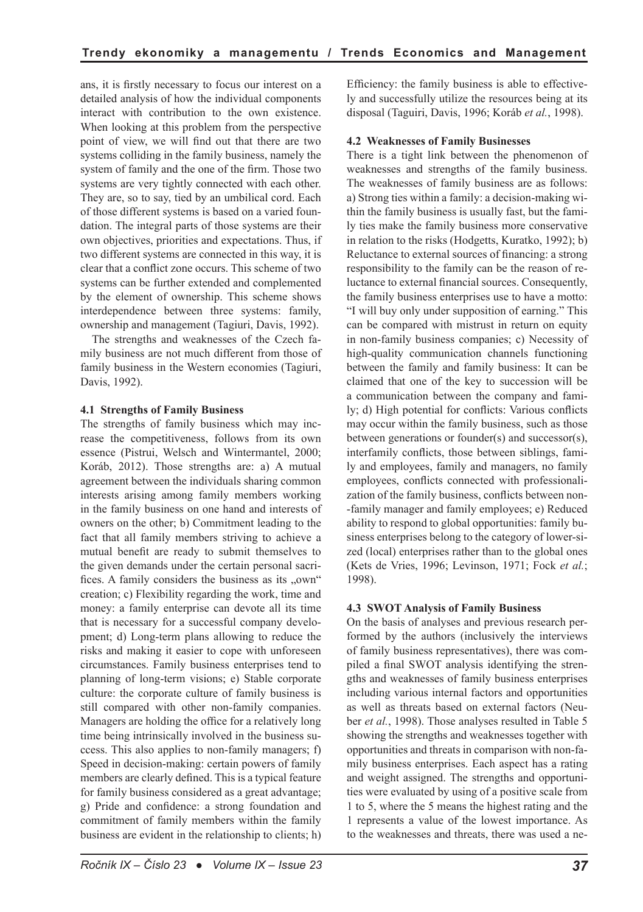ans, it is firstly necessary to focus our interest on a detailed analysis of how the individual components interact with contribution to the own existence. When looking at this problem from the perspective point of view, we will find out that there are two systems colliding in the family business, namely the system of family and the one of the firm. Those two systems are very tightly connected with each other. They are, so to say, tied by an umbilical cord. Each of those different systems is based on a varied foundation. The integral parts of those systems are their own objectives, priorities and expectations. Thus, if two different systems are connected in this way, it is clear that a conflict zone occurs. This scheme of two systems can be further extended and complemented by the element of ownership. This scheme shows interdependence between three systems: family, ownership and management (Tagiuri, Davis, 1992).

The strengths and weaknesses of the Czech family business are not much different from those of family business in the Western economies (Tagiuri, Davis, 1992).

### **4.1 Strengths of Family Business**

The strengths of family business which may increase the competitiveness, follows from its own essence (Pistrui, Welsch and Wintermantel, 2000; Koráb, 2012). Those strengths are: a) A mutual agreement between the individuals sharing common interests arising among family members working in the family business on one hand and interests of owners on the other; b) Commitment leading to the fact that all family members striving to achieve a mutual benefit are ready to submit themselves to the given demands under the certain personal sacrifices. A family considers the business as its  $, own$ " creation; c) Flexibility regarding the work, time and money: a family enterprise can devote all its time that is necessary for a successful company development; d) Long-term plans allowing to reduce the risks and making it easier to cope with unforeseen circumstances. Family business enterprises tend to planning of long-term visions; e) Stable corporate culture: the corporate culture of family business is still compared with other non-family companies. Managers are holding the office for a relatively long time being intrinsically involved in the business success. This also applies to non-family managers; f) Speed in decision-making: certain powers of family members are clearly defined. This is a typical feature for family business considered as a great advantage; g) Pride and confidence: a strong foundation and commitment of family members within the family business are evident in the relationship to clients; h) Efficiency: the family business is able to effectively and successfully utilize the resources being at its disposal (Taguiri, Davis, 1996; Koráb *et al.*, 1998).

#### **4.2 Weaknesses of Family Businesses**

There is a tight link between the phenomenon of weaknesses and strengths of the family business. The weaknesses of family business are as follows: a) Strong ties within a family: a decision-making within the family business is usually fast, but the family ties make the family business more conservative in relation to the risks (Hodgetts, Kuratko, 1992); b) Reluctance to external sources of financing: a strong responsibility to the family can be the reason of reluctance to external financial sources. Consequently, the family business enterprises use to have a motto: "I will buy only under supposition of earning." This can be compared with mistrust in return on equity in non-family business companies; c) Necessity of high-quality communication channels functioning between the family and family business: It can be claimed that one of the key to succession will be a communication between the company and family; d) High potential for conflicts: Various conflicts may occur within the family business, such as those between generations or founder(s) and successor(s), interfamily conflicts, those between siblings, family and employees, family and managers, no family employees, conflicts connected with professionalization of the family business, conflicts between non- -family manager and family employees; e) Reduced ability to respond to global opportunities: family business enterprises belong to the category of lower-sized (local) enterprises rather than to the global ones (Kets de Vries, 1996; Levinson, 1971; Fock *et al.*; 1998).

## **4.3 SWOT Analysis of Family Business**

On the basis of analyses and previous research performed by the authors (inclusively the interviews of family business representatives), there was compiled a final SWOT analysis identifying the strengths and weaknesses of family business enterprises including various internal factors and opportunities as well as threats based on external factors (Neuber *et al.*, 1998). Those analyses resulted in Table 5 showing the strengths and weaknesses together with opportunities and threats in comparison with non-family business enterprises. Each aspect has a rating and weight assigned. The strengths and opportunities were evaluated by using of a positive scale from 1 to 5, where the 5 means the highest rating and the 1 represents a value of the lowest importance. As to the weaknesses and threats, there was used a ne-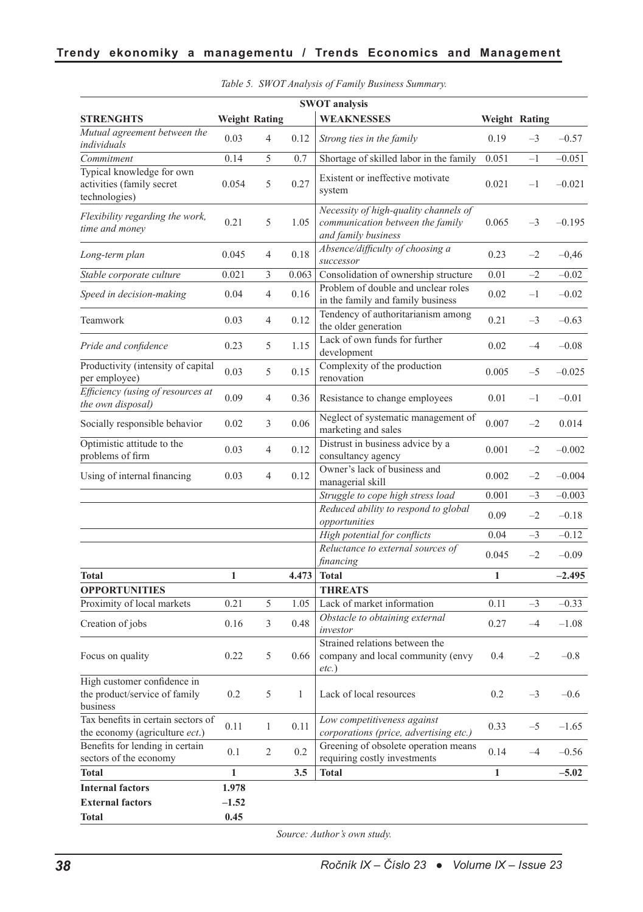| <b>SWOT</b> analysis                                                     |              |                      |       |                                                                                                  |              |               |          |
|--------------------------------------------------------------------------|--------------|----------------------|-------|--------------------------------------------------------------------------------------------------|--------------|---------------|----------|
| <b>STRENGHTS</b>                                                         |              | <b>Weight Rating</b> |       | <b>WEAKNESSES</b>                                                                                |              | Weight Rating |          |
| Mutual agreement between the<br>individuals                              | 0.03         | $\overline{4}$       | 0.12  | Strong ties in the family                                                                        | 0.19         | $-3$          | $-0.57$  |
| Commitment                                                               | 0.14         | 5                    | 0.7   | Shortage of skilled labor in the family                                                          | 0.051        | $-1$          | $-0.051$ |
| Typical knowledge for own<br>activities (family secret<br>technologies)  | 0.054        | 5                    | 0.27  | Existent or ineffective motivate<br>system                                                       | 0.021        | $-1$          | $-0.021$ |
| Flexibility regarding the work,<br>time and money                        | 0.21         | 5                    | 1.05  | Necessity of high-quality channels of<br>communication between the family<br>and family business | 0.065        | $-3$          | $-0.195$ |
| Long-term plan                                                           | 0.045        | $\overline{4}$       | 0.18  | Absence/difficulty of choosing a<br>successor                                                    | 0.23         | $-2$          | $-0,46$  |
| Stable corporate culture                                                 | 0.021        | 3                    | 0.063 | Consolidation of ownership structure                                                             | 0.01         | $-2$          | $-0.02$  |
| Speed in decision-making                                                 | 0.04         | $\overline{4}$       | 0.16  | Problem of double and unclear roles<br>in the family and family business                         | 0.02         | $-1$          | $-0.02$  |
| Teamwork                                                                 | 0.03         | $\overline{4}$       | 0.12  | Tendency of authoritarianism among<br>the older generation                                       | 0.21         | $-3$          | $-0.63$  |
| Pride and confidence                                                     | 0.23         | 5                    | 1.15  | Lack of own funds for further<br>development                                                     | 0.02         | $-4$          | $-0.08$  |
| Productivity (intensity of capital<br>per employee)                      | 0.03         | 5                    | 0.15  | Complexity of the production<br>renovation                                                       | 0.005        | $-5$          | $-0.025$ |
| Efficiency (using of resources at<br>the own disposal)                   | 0.09         | $\overline{4}$       | 0.36  | Resistance to change employees                                                                   | 0.01         | $-1$          | $-0.01$  |
| Socially responsible behavior                                            | 0.02         | 3                    | 0.06  | Neglect of systematic management of<br>marketing and sales                                       | 0.007        | $-2$          | 0.014    |
| Optimistic attitude to the<br>problems of firm                           | 0.03         | $\overline{4}$       | 0.12  | Distrust in business advice by a<br>consultancy agency                                           | 0.001        | $-2$          | $-0.002$ |
| Using of internal financing                                              | 0.03         | 4                    | 0.12  | Owner's lack of business and<br>managerial skill                                                 | 0.002        | $-2$          | $-0.004$ |
|                                                                          |              |                      |       | Struggle to cope high stress load                                                                | 0.001        | $-3$          | $-0.003$ |
|                                                                          |              |                      |       | Reduced ability to respond to global<br>opportunities                                            | 0.09         | $-2$          | $-0.18$  |
|                                                                          |              |                      |       | High potential for conflicts                                                                     | 0.04         | $-3$          | $-0.12$  |
|                                                                          |              |                      |       | Reluctance to external sources of                                                                | 0.045        | $-2$          | $-0.09$  |
|                                                                          |              |                      |       | financing                                                                                        |              |               |          |
| <b>Total</b>                                                             | 1            |                      | 4.473 | <b>Total</b>                                                                                     | 1            |               | $-2.495$ |
| <b>OPPORTUNITIES</b><br>Proximity of local markets                       | 0.21         | 5                    | 1.05  | <b>THREATS</b><br>Lack of market information                                                     | 0.11         | $-3$          | $-0.33$  |
| Creation of jobs                                                         | 0.16         | 3                    | 0.48  | Obstacle to obtaining external<br>investor                                                       | 0.27         | $-4$          | $-1.08$  |
| Focus on quality                                                         | 0.22         | 5                    | 0.66  | Strained relations between the<br>company and local community (envy<br>$etc.$ )                  | 0.4          | $-2$          | $-0.8$   |
| High customer confidence in<br>the product/service of family<br>business | 0.2          | 5                    | 1     | Lack of local resources                                                                          | 0.2          | $-3$          | $-0.6$   |
| Tax benefits in certain sectors of<br>the economy (agriculture ect.)     | 0.11         | $\mathbf{1}$         | 0.11  | Low competitiveness against<br>corporations (price, advertising etc.)                            | 0.33         | $-5$          | $-1.65$  |
| Benefits for lending in certain<br>sectors of the economy                | 0.1          | 2                    | 0.2   | Greening of obsolete operation means<br>requiring costly investments                             | 0.14         | $-4$          | $-0.56$  |
| <b>Total</b>                                                             | $\mathbf{1}$ |                      | 3.5   | <b>Total</b>                                                                                     | $\mathbf{1}$ |               | $-5.02$  |
| <b>Internal factors</b>                                                  | 1.978        |                      |       |                                                                                                  |              |               |          |
| <b>External factors</b>                                                  | $-1.52$      |                      |       |                                                                                                  |              |               |          |
| <b>Total</b>                                                             | 0.45         |                      |       |                                                                                                  |              |               |          |

|  |  |  |  |  | Table 5. SWOT Analysis of Family Business Summary. |
|--|--|--|--|--|----------------------------------------------------|
|--|--|--|--|--|----------------------------------------------------|

*Source: Author's own study.*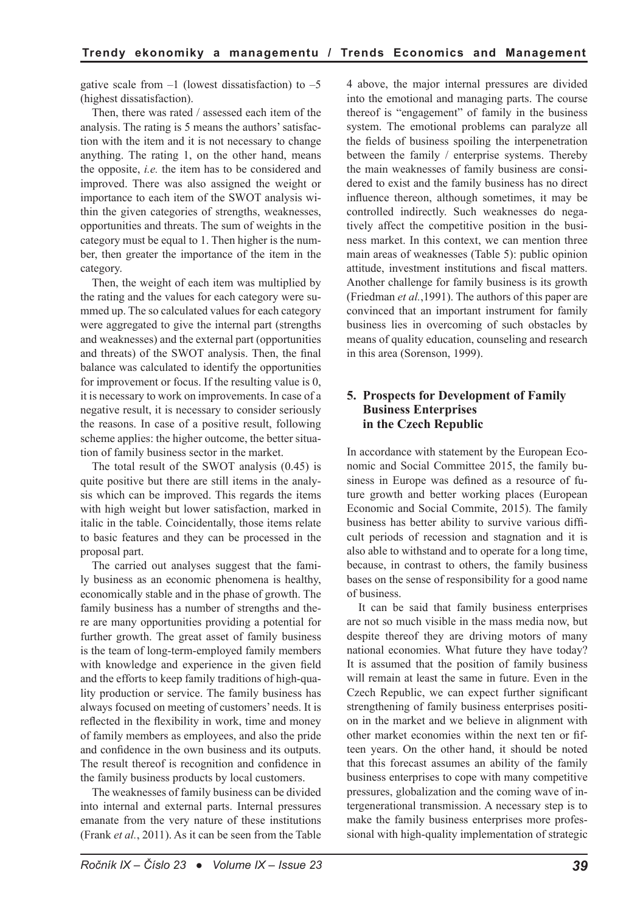gative scale from  $-1$  (lowest dissatisfaction) to  $-5$ (highest dissatisfaction).

Then, there was rated / assessed each item of the analysis. The rating is 5 means the authors' satisfaction with the item and it is not necessary to change anything. The rating 1, on the other hand, means the opposite, *i.e.* the item has to be considered and improved. There was also assigned the weight or importance to each item of the SWOT analysis within the given categories of strengths, weaknesses, opportunities and threats. The sum of weights in the category must be equal to 1. Then higher is the number, then greater the importance of the item in the category.

Then, the weight of each item was multiplied by the rating and the values for each category were summed up. The so calculated values for each category were aggregated to give the internal part (strengths and weaknesses) and the external part (opportunities and threats) of the SWOT analysis. Then, the final balance was calculated to identify the opportunities for improvement or focus. If the resulting value is 0, it is necessary to work on improvements. In case of a negative result, it is necessary to consider seriously the reasons. In case of a positive result, following scheme applies: the higher outcome, the better situation of family business sector in the market.

The total result of the SWOT analysis (0.45) is quite positive but there are still items in the analysis which can be improved. This regards the items with high weight but lower satisfaction, marked in italic in the table. Coincidentally, those items relate to basic features and they can be processed in the proposal part.

The carried out analyses suggest that the family business as an economic phenomena is healthy, economically stable and in the phase of growth. The family business has a number of strengths and there are many opportunities providing a potential for further growth. The great asset of family business is the team of long-term-employed family members with knowledge and experience in the given field and the efforts to keep family traditions of high-quality production or service. The family business has always focused on meeting of customers' needs. It is reflected in the flexibility in work, time and money of family members as employees, and also the pride and confidence in the own business and its outputs. The result thereof is recognition and confidence in the family business products by local customers.

The weaknesses of family business can be divided into internal and external parts. Internal pressures emanate from the very nature of these institutions (Frank *et al.*, 2011). As it can be seen from the Table 4 above, the major internal pressures are divided into the emotional and managing parts. The course thereof is "engagement" of family in the business system. The emotional problems can paralyze all the fields of business spoiling the interpenetration between the family / enterprise systems. Thereby the main weaknesses of family business are considered to exist and the family business has no direct influence thereon, although sometimes, it may be controlled indirectly. Such weaknesses do negatively affect the competitive position in the business market. In this context, we can mention three main areas of weaknesses (Table 5): public opinion attitude, investment institutions and fiscal matters. Another challenge for family business is its growth (Friedman *et al.*,1991). The authors of this paper are convinced that an important instrument for family business lies in overcoming of such obstacles by means of quality education, counseling and research in this area (Sorenson, 1999).

## **5. Prospects for Development of Family Business Enterprises in the Czech Republic**

In accordance with statement by the European Economic and Social Committee 2015, the family business in Europe was defined as a resource of future growth and better working places (European Economic and Social Commite, 2015). The family business has better ability to survive various difficult periods of recession and stagnation and it is also able to withstand and to operate for a long time, because, in contrast to others, the family business bases on the sense of responsibility for a good name of business.

It can be said that family business enterprises are not so much visible in the mass media now, but despite thereof they are driving motors of many national economies. What future they have today? It is assumed that the position of family business will remain at least the same in future. Even in the Czech Republic, we can expect further significant strengthening of family business enterprises position in the market and we believe in alignment with other market economies within the next ten or fifteen years. On the other hand, it should be noted that this forecast assumes an ability of the family business enterprises to cope with many competitive pressures, globalization and the coming wave of intergenerational transmission. A necessary step is to make the family business enterprises more professional with high-quality implementation of strategic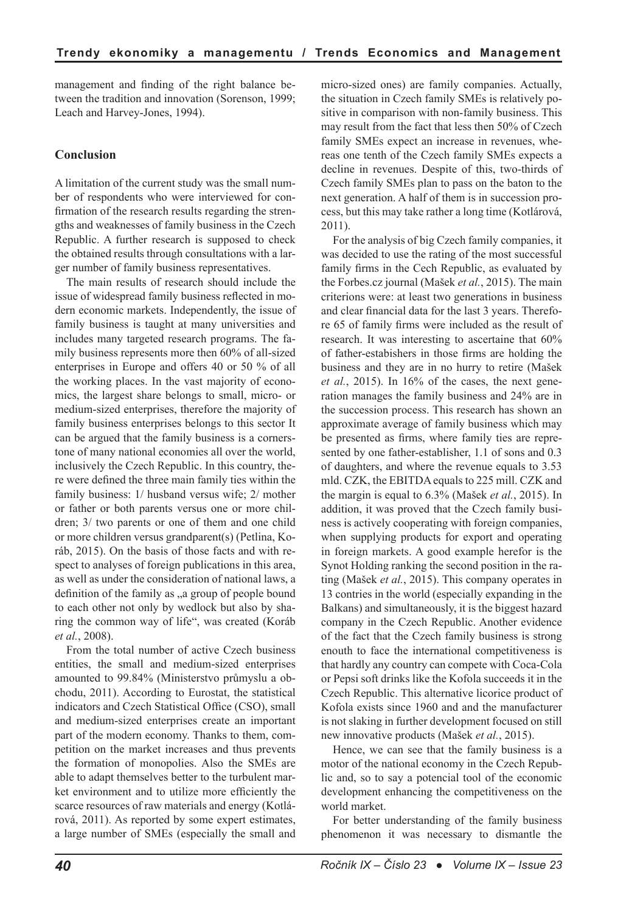management and finding of the right balance between the tradition and innovation (Sorenson, 1999; Leach and Harvey-Jones, 1994).

## **Conclusion**

A limitation of the current study was the small number of respondents who were interviewed for confirmation of the research results regarding the strengths and weaknesses of family business in the Czech Republic. A further research is supposed to check the obtained results through consultations with a larger number of family business representatives.

The main results of research should include the issue of widespread family business reflected in modern economic markets. Independently, the issue of family business is taught at many universities and includes many targeted research programs. The family business represents more then 60% of all-sized enterprises in Europe and offers 40 or 50 % of all the working places. In the vast majority of economics, the largest share belongs to small, micro- or medium-sized enterprises, therefore the majority of family business enterprises belongs to this sector It can be argued that the family business is a cornerstone of many national economies all over the world, inclusively the Czech Republic. In this country, there were defined the three main family ties within the family business: 1/ husband versus wife; 2/ mother or father or both parents versus one or more children; 3/ two parents or one of them and one child or more children versus grandparent(s) (Petlina, Koráb, 2015). On the basis of those facts and with respect to analyses of foreign publications in this area, as well as under the consideration of national laws, a definition of the family as "a group of people bound to each other not only by wedlock but also by sharing the common way of life", was created (Koráb *et al.*, 2008).

From the total number of active Czech business entities, the small and medium-sized enterprises amounted to 99.84% (Ministerstvo průmyslu a obchodu, 2011). According to Eurostat, the statistical indicators and Czech Statistical Office (CSO), small and medium-sized enterprises create an important part of the modern economy. Thanks to them, competition on the market increases and thus prevents the formation of monopolies. Also the SMEs are able to adapt themselves better to the turbulent market environment and to utilize more efficiently the scarce resources of raw materials and energy (Kotlárová, 2011). As reported by some expert estimates, a large number of SMEs (especially the small and micro-sized ones) are family companies. Actually, the situation in Czech family SMEs is relatively positive in comparison with non-family business. This may result from the fact that less then 50% of Czech family SMEs expect an increase in revenues, whereas one tenth of the Czech family SMEs expects a decline in revenues. Despite of this, two-thirds of Czech family SMEs plan to pass on the baton to the next generation. A half of them is in succession process, but this may take rather a long time (Kotlárová, 2011).

For the analysis of big Czech family companies, it was decided to use the rating of the most successful family firms in the Cech Republic, as evaluated by the Forbes.cz journal (Mašek *et al.*, 2015). The main criterions were: at least two generations in business and clear financial data for the last 3 years. Therefore 65 of family firms were included as the result of research. It was interesting to ascertaine that 60% of father-estabishers in those firms are holding the business and they are in no hurry to retire (Mašek *et al.*, 2015). In 16% of the cases, the next generation manages the family business and 24% are in the succession process. This research has shown an approximate average of family business which may be presented as firms, where family ties are represented by one father-establisher, 1.1 of sons and 0.3 of daughters, and where the revenue equals to 3.53 mld. CZK, the EBITDA equals to 225 mill. CZK and the margin is equal to 6.3% (Mašek *et al.*, 2015). In addition, it was proved that the Czech family business is actively cooperating with foreign companies, when supplying products for export and operating in foreign markets. A good example herefor is the Synot Holding ranking the second position in the rating (Mašek *et al.*, 2015). This company operates in 13 contries in the world (especially expanding in the Balkans) and simultaneously, it is the biggest hazard company in the Czech Republic. Another evidence of the fact that the Czech family business is strong enouth to face the international competitiveness is that hardly any country can compete with Coca-Cola or Pepsi soft drinks like the Kofola succeeds it in the Czech Republic. This alternative licorice product of Kofola exists since 1960 and and the manufacturer is not slaking in further development focused on still new innovative products (Mašek *et al.*, 2015).

Hence, we can see that the family business is a motor of the national economy in the Czech Republic and, so to say a potencial tool of the economic development enhancing the competitiveness on the world market.

For better understanding of the family business phenomenon it was necessary to dismantle the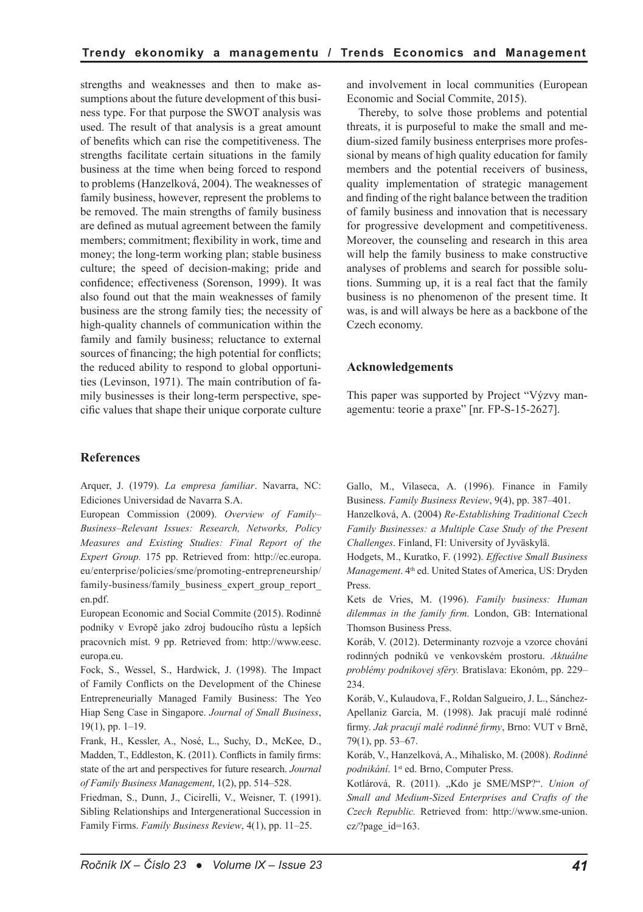strengths and weaknesses and then to make assumptions about the future development of this business type. For that purpose the SWOT analysis was used. The result of that analysis is a great amount of benefits which can rise the competitiveness. The strengths facilitate certain situations in the family business at the time when being forced to respond to problems (Hanzelková, 2004). The weaknesses of family business, however, represent the problems to be removed. The main strengths of family business are defined as mutual agreement between the family members; commitment; flexibility in work, time and money; the long-term working plan; stable business culture; the speed of decision-making; pride and confidence; effectiveness (Sorenson, 1999). It was also found out that the main weaknesses of family business are the strong family ties; the necessity of high-quality channels of communication within the family and family business; reluctance to external sources of financing; the high potential for conflicts; the reduced ability to respond to global opportunities (Levinson, 1971). The main contribution of family businesses is their long-term perspective, specific values that shape their unique corporate culture

#### **References**

Arquer, J. (1979). *La empresa familiar*. Navarra, NC: Ediciones Universidad de Navarra S.A.

European Commission (2009). *Overview of Family– Business–Relevant Issues: Research, Networks, Policy Measures and Existing Studies: Final Report of the Expert Group.* 175 pp. Retrieved from: http://ec.europa. eu/enterprise/policies/sme/promoting-entrepreneurship/ family-business/family\_business\_expert\_group\_report en.pdf.

European Economic and Social Commite (2015). Rodinné podniky v Evropě jako zdroj budoucího růstu a lepších pracovních míst. 9 pp. Retrieved from: http://www.eesc. europa.eu.

Fock, S., Wessel, S., Hardwick, J. (1998). The Impact of Family Conflicts on the Development of the Chinese Entrepreneurially Managed Family Business: The Yeo Hiap Seng Case in Singapore. *Journal of Small Business*, 19(1), pp. 1–19.

Frank, H., Kessler, A., Nosé, L., Suchy, D., McKee, D., Madden, T., Eddleston, K. (2011). Conflicts in family firms: state of the art and perspectives for future research. *Journal of Family Business Management*, 1(2), pp. 514–528.

Friedman, S., Dunn, J., Cicirelli, V., Weisner, T. (1991). Sibling Relationships and Intergenerational Succession in Family Firms. *Family Business Review*, 4(1), pp. 11–25.

and involvement in local communities (European Economic and Social Commite, 2015).

Thereby, to solve those problems and potential threats, it is purposeful to make the small and medium-sized family business enterprises more professional by means of high quality education for family members and the potential receivers of business, quality implementation of strategic management and finding of the right balance between the tradition of family business and innovation that is necessary for progressive development and competitiveness. Moreover, the counseling and research in this area will help the family business to make constructive analyses of problems and search for possible solutions. Summing up, it is a real fact that the family business is no phenomenon of the present time. It was, is and will always be here as a backbone of the Czech economy.

#### **Acknowledgements**

This paper was supported by Project "Výzvy managementu: teorie a praxe" [nr. FP-S-15-2627].

Gallo, M., Vilaseca, A. (1996). Finance in Family Business. *Family Business Review*, 9(4), pp. 387–401.

Hanzelková, A. (2004) *Re-Establishing Traditional Czech Family Businesses: a Multiple Case Study of the Present Challenges*. Finland, FI: University of Jyväskylä.

Hodgets, M., Kuratko, F. (1992). *Effective Small Business Management*. 4th ed. United States of America, US: Dryden Press.

Kets de Vries, M. (1996). *Family business: Human dilemmas in the family firm.* London, GB: International Thomson Business Press.

Koráb, V. (2012). Determinanty rozvoje a vzorce chování rodinných podniků ve venkovském prostoru. *Aktuálne problémy podnikovej sféry.* Bratislava: Ekonóm, pp. 229– 234.

Koráb, V., Kulaudova, F., Roldan Salgueiro, J. L., Sánchez-Apellaniz García, M. (1998). Jak pracují malé rodinné firmy. *Jak pracují malé rodinné firmy*, Brno: VUT v Brně, 79(1), pp. 53–67.

Koráb, V., Hanzelková, A., Mihalisko, M. (2008). *Rodinné podnikání*. 1<sup>st</sup> ed. Brno, Computer Press.

Kotlárová, R. (2011). "Kdo je SME/MSP?". *Union of Small and Medium-Sized Enterprises and Crafts of the Czech Republic.* Retrieved from: http://www.sme-union. cz/?page\_id=163.